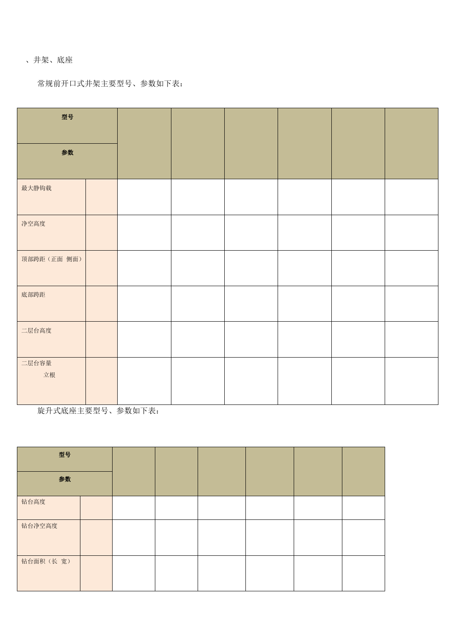## 、井架、底座

常规前开口式井架主要型号、参数如下表:

| 型号          |  |  |  |
|-------------|--|--|--|
| 参数          |  |  |  |
| 最大静钩载       |  |  |  |
| 净空高度        |  |  |  |
| 顶部跨距(正面 侧面) |  |  |  |
| 底部跨距        |  |  |  |
| 二层台高度       |  |  |  |
| 二层台容量<br>立根 |  |  |  |

旋升式底座主要型号、参数如下表:

| 型号<br>参数 |  |  |  |  |
|----------|--|--|--|--|
| 钻台高度     |  |  |  |  |
| 钻台净空高度   |  |  |  |  |
| 钻台面积(长宽) |  |  |  |  |